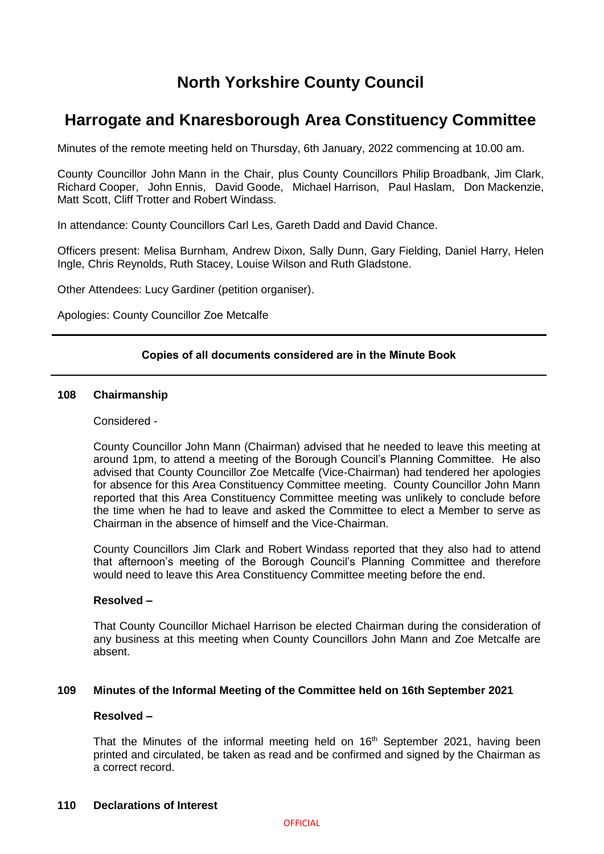# **North Yorkshire County Council**

# **Harrogate and Knaresborough Area Constituency Committee**

Minutes of the remote meeting held on Thursday, 6th January, 2022 commencing at 10.00 am.

County Councillor John Mann in the Chair, plus County Councillors Philip Broadbank, Jim Clark, Richard Cooper, John Ennis, David Goode, Michael Harrison, Paul Haslam, Don Mackenzie, Matt Scott, Cliff Trotter and Robert Windass.

In attendance: County Councillors Carl Les, Gareth Dadd and David Chance.

Officers present: Melisa Burnham, Andrew Dixon, Sally Dunn, Gary Fielding, Daniel Harry, Helen Ingle, Chris Reynolds, Ruth Stacey, Louise Wilson and Ruth Gladstone.

Other Attendees: Lucy Gardiner (petition organiser).

Apologies: County Councillor Zoe Metcalfe

# **Copies of all documents considered are in the Minute Book**

## **108 Chairmanship**

# Considered -

County Councillor John Mann (Chairman) advised that he needed to leave this meeting at around 1pm, to attend a meeting of the Borough Council's Planning Committee. He also advised that County Councillor Zoe Metcalfe (Vice-Chairman) had tendered her apologies for absence for this Area Constituency Committee meeting. County Councillor John Mann reported that this Area Constituency Committee meeting was unlikely to conclude before the time when he had to leave and asked the Committee to elect a Member to serve as Chairman in the absence of himself and the Vice-Chairman.

County Councillors Jim Clark and Robert Windass reported that they also had to attend that afternoon's meeting of the Borough Council's Planning Committee and therefore would need to leave this Area Constituency Committee meeting before the end.

## **Resolved –**

That County Councillor Michael Harrison be elected Chairman during the consideration of any business at this meeting when County Councillors John Mann and Zoe Metcalfe are absent.

## **109 Minutes of the Informal Meeting of the Committee held on 16th September 2021**

# **Resolved –**

That the Minutes of the informal meeting held on 16<sup>th</sup> September 2021, having been printed and circulated, be taken as read and be confirmed and signed by the Chairman as a correct record.

#### **110 Declarations of Interest**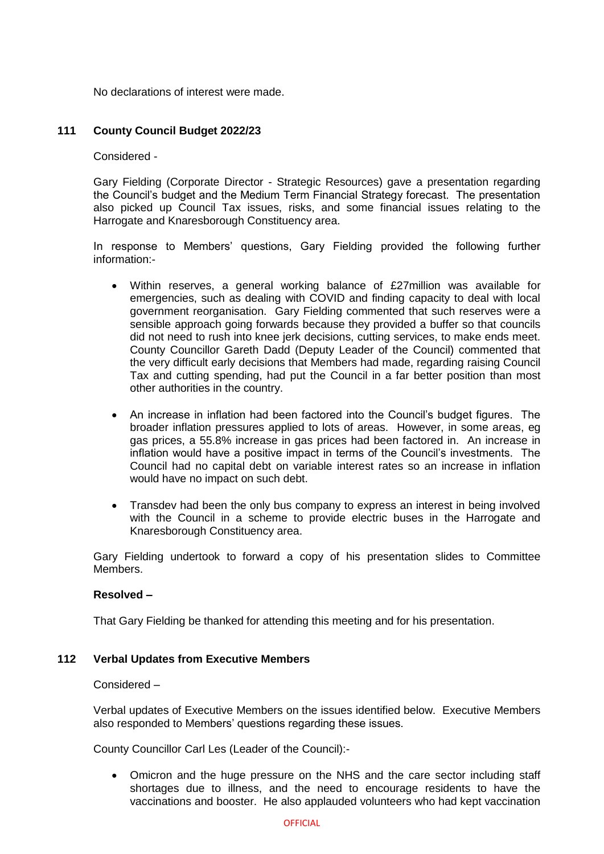No declarations of interest were made.

# **111 County Council Budget 2022/23**

Considered -

Gary Fielding (Corporate Director - Strategic Resources) gave a presentation regarding the Council's budget and the Medium Term Financial Strategy forecast. The presentation also picked up Council Tax issues, risks, and some financial issues relating to the Harrogate and Knaresborough Constituency area.

In response to Members' questions, Gary Fielding provided the following further information:-

- Within reserves, a general working balance of £27million was available for emergencies, such as dealing with COVID and finding capacity to deal with local government reorganisation. Gary Fielding commented that such reserves were a sensible approach going forwards because they provided a buffer so that councils did not need to rush into knee jerk decisions, cutting services, to make ends meet. County Councillor Gareth Dadd (Deputy Leader of the Council) commented that the very difficult early decisions that Members had made, regarding raising Council Tax and cutting spending, had put the Council in a far better position than most other authorities in the country.
- An increase in inflation had been factored into the Council's budget figures. The broader inflation pressures applied to lots of areas. However, in some areas, eg gas prices, a 55.8% increase in gas prices had been factored in. An increase in inflation would have a positive impact in terms of the Council's investments. The Council had no capital debt on variable interest rates so an increase in inflation would have no impact on such debt.
- Transdev had been the only bus company to express an interest in being involved with the Council in a scheme to provide electric buses in the Harrogate and Knaresborough Constituency area.

Gary Fielding undertook to forward a copy of his presentation slides to Committee Members.

## **Resolved –**

That Gary Fielding be thanked for attending this meeting and for his presentation.

## **112 Verbal Updates from Executive Members**

Considered –

Verbal updates of Executive Members on the issues identified below. Executive Members also responded to Members' questions regarding these issues.

County Councillor Carl Les (Leader of the Council):-

 Omicron and the huge pressure on the NHS and the care sector including staff shortages due to illness, and the need to encourage residents to have the vaccinations and booster. He also applauded volunteers who had kept vaccination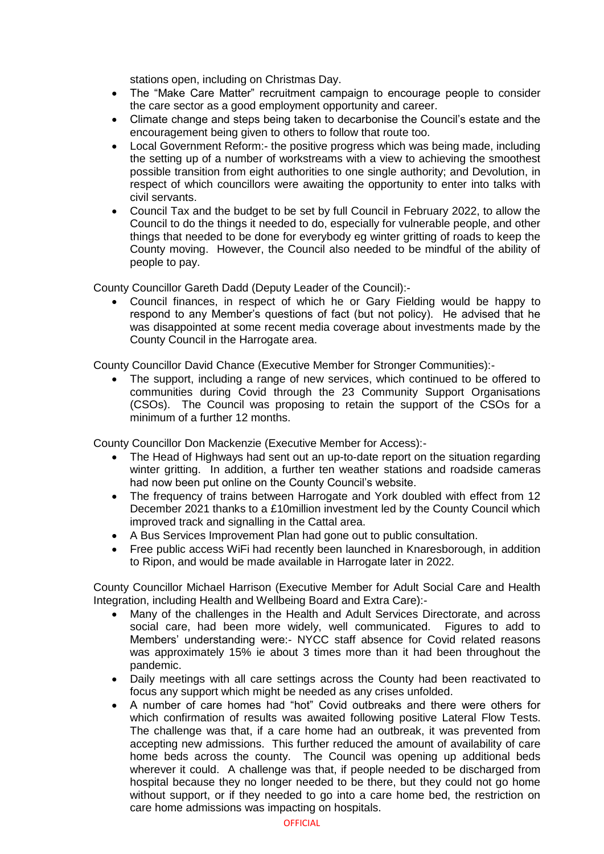stations open, including on Christmas Day.

- The "Make Care Matter" recruitment campaign to encourage people to consider the care sector as a good employment opportunity and career.
- Climate change and steps being taken to decarbonise the Council's estate and the encouragement being given to others to follow that route too.
- Local Government Reform:- the positive progress which was being made, including the setting up of a number of workstreams with a view to achieving the smoothest possible transition from eight authorities to one single authority; and Devolution, in respect of which councillors were awaiting the opportunity to enter into talks with civil servants.
- Council Tax and the budget to be set by full Council in February 2022, to allow the Council to do the things it needed to do, especially for vulnerable people, and other things that needed to be done for everybody eg winter gritting of roads to keep the County moving. However, the Council also needed to be mindful of the ability of people to pay.

County Councillor Gareth Dadd (Deputy Leader of the Council):-

 Council finances, in respect of which he or Gary Fielding would be happy to respond to any Member's questions of fact (but not policy). He advised that he was disappointed at some recent media coverage about investments made by the County Council in the Harrogate area.

County Councillor David Chance (Executive Member for Stronger Communities):-

 The support, including a range of new services, which continued to be offered to communities during Covid through the 23 Community Support Organisations (CSOs). The Council was proposing to retain the support of the CSOs for a minimum of a further 12 months.

County Councillor Don Mackenzie (Executive Member for Access):-

- The Head of Highways had sent out an up-to-date report on the situation regarding winter gritting. In addition, a further ten weather stations and roadside cameras had now been put online on the County Council's website.
- The frequency of trains between Harrogate and York doubled with effect from 12 December 2021 thanks to a £10million investment led by the County Council which improved track and signalling in the Cattal area.
- A Bus Services Improvement Plan had gone out to public consultation.
- Free public access WiFi had recently been launched in Knaresborough, in addition to Ripon, and would be made available in Harrogate later in 2022.

County Councillor Michael Harrison (Executive Member for Adult Social Care and Health Integration, including Health and Wellbeing Board and Extra Care):-

- Many of the challenges in the Health and Adult Services Directorate, and across social care, had been more widely, well communicated. Figures to add to Members' understanding were:- NYCC staff absence for Covid related reasons was approximately 15% ie about 3 times more than it had been throughout the pandemic.
- Daily meetings with all care settings across the County had been reactivated to focus any support which might be needed as any crises unfolded.
- A number of care homes had "hot" Covid outbreaks and there were others for which confirmation of results was awaited following positive Lateral Flow Tests. The challenge was that, if a care home had an outbreak, it was prevented from accepting new admissions. This further reduced the amount of availability of care home beds across the county. The Council was opening up additional beds wherever it could. A challenge was that, if people needed to be discharged from hospital because they no longer needed to be there, but they could not go home without support, or if they needed to go into a care home bed, the restriction on care home admissions was impacting on hospitals.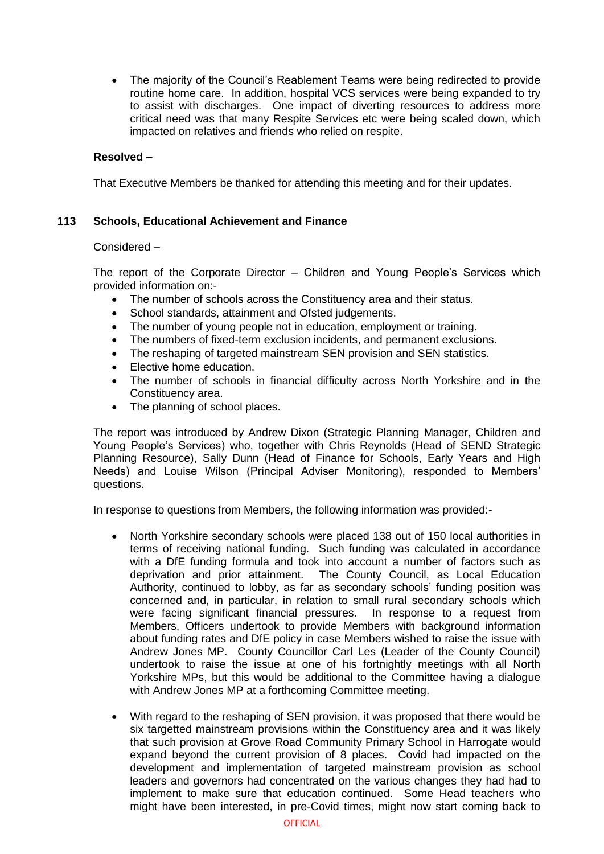• The majority of the Council's Reablement Teams were being redirected to provide routine home care. In addition, hospital VCS services were being expanded to try to assist with discharges. One impact of diverting resources to address more critical need was that many Respite Services etc were being scaled down, which impacted on relatives and friends who relied on respite.

# **Resolved –**

That Executive Members be thanked for attending this meeting and for their updates.

# **113 Schools, Educational Achievement and Finance**

## Considered –

The report of the Corporate Director – Children and Young People's Services which provided information on:-

- The number of schools across the Constituency area and their status.
- School standards, attainment and Ofsted judgements.
- The number of young people not in education, employment or training.
- The numbers of fixed-term exclusion incidents, and permanent exclusions.
- The reshaping of targeted mainstream SEN provision and SEN statistics.
- Elective home education.
- The number of schools in financial difficulty across North Yorkshire and in the Constituency area.
- The planning of school places.

The report was introduced by Andrew Dixon (Strategic Planning Manager, Children and Young People's Services) who, together with Chris Reynolds (Head of SEND Strategic Planning Resource), Sally Dunn (Head of Finance for Schools, Early Years and High Needs) and Louise Wilson (Principal Adviser Monitoring), responded to Members' questions.

In response to questions from Members, the following information was provided:-

- North Yorkshire secondary schools were placed 138 out of 150 local authorities in terms of receiving national funding. Such funding was calculated in accordance with a DfE funding formula and took into account a number of factors such as deprivation and prior attainment. The County Council, as Local Education Authority, continued to lobby, as far as secondary schools' funding position was concerned and, in particular, in relation to small rural secondary schools which were facing significant financial pressures. In response to a request from Members, Officers undertook to provide Members with background information about funding rates and DfE policy in case Members wished to raise the issue with Andrew Jones MP. County Councillor Carl Les (Leader of the County Council) undertook to raise the issue at one of his fortnightly meetings with all North Yorkshire MPs, but this would be additional to the Committee having a dialogue with Andrew Jones MP at a forthcoming Committee meeting.
- With regard to the reshaping of SEN provision, it was proposed that there would be six targetted mainstream provisions within the Constituency area and it was likely that such provision at Grove Road Community Primary School in Harrogate would expand beyond the current provision of 8 places. Covid had impacted on the development and implementation of targeted mainstream provision as school leaders and governors had concentrated on the various changes they had had to implement to make sure that education continued. Some Head teachers who might have been interested, in pre-Covid times, might now start coming back to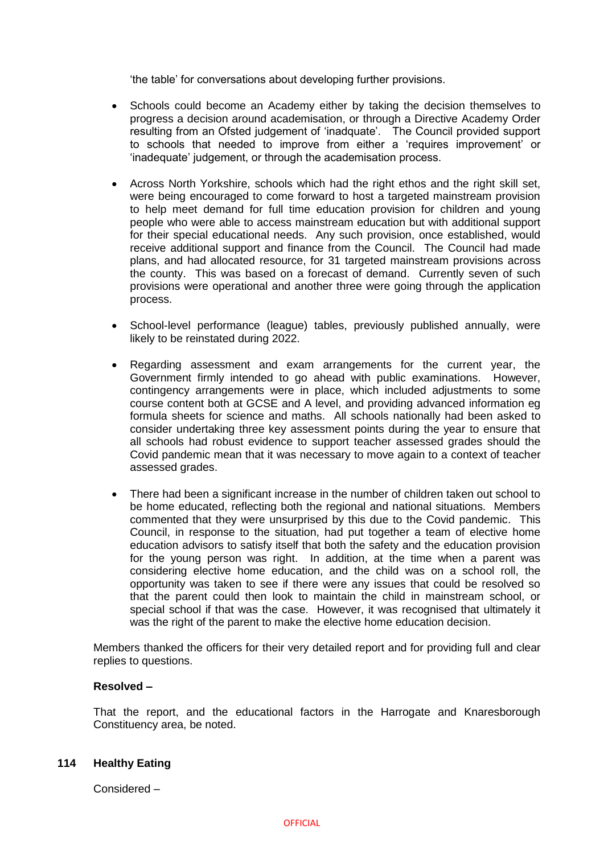'the table' for conversations about developing further provisions.

- Schools could become an Academy either by taking the decision themselves to progress a decision around academisation, or through a Directive Academy Order resulting from an Ofsted judgement of 'inadquate'. The Council provided support to schools that needed to improve from either a 'requires improvement' or 'inadequate' judgement, or through the academisation process.
- Across North Yorkshire, schools which had the right ethos and the right skill set, were being encouraged to come forward to host a targeted mainstream provision to help meet demand for full time education provision for children and young people who were able to access mainstream education but with additional support for their special educational needs. Any such provision, once established, would receive additional support and finance from the Council. The Council had made plans, and had allocated resource, for 31 targeted mainstream provisions across the county. This was based on a forecast of demand. Currently seven of such provisions were operational and another three were going through the application process.
- School-level performance (league) tables, previously published annually, were likely to be reinstated during 2022.
- Regarding assessment and exam arrangements for the current year, the Government firmly intended to go ahead with public examinations. However, contingency arrangements were in place, which included adjustments to some course content both at GCSE and A level, and providing advanced information eg formula sheets for science and maths. All schools nationally had been asked to consider undertaking three key assessment points during the year to ensure that all schools had robust evidence to support teacher assessed grades should the Covid pandemic mean that it was necessary to move again to a context of teacher assessed grades.
- There had been a significant increase in the number of children taken out school to be home educated, reflecting both the regional and national situations. Members commented that they were unsurprised by this due to the Covid pandemic. This Council, in response to the situation, had put together a team of elective home education advisors to satisfy itself that both the safety and the education provision for the young person was right. In addition, at the time when a parent was considering elective home education, and the child was on a school roll, the opportunity was taken to see if there were any issues that could be resolved so that the parent could then look to maintain the child in mainstream school, or special school if that was the case. However, it was recognised that ultimately it was the right of the parent to make the elective home education decision.

Members thanked the officers for their very detailed report and for providing full and clear replies to questions.

# **Resolved –**

That the report, and the educational factors in the Harrogate and Knaresborough Constituency area, be noted.

## **114 Healthy Eating**

Considered –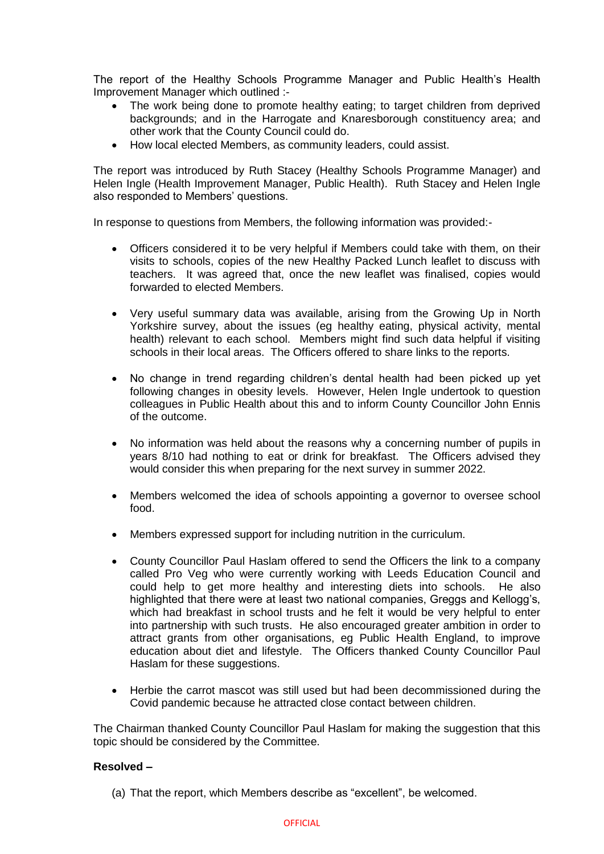The report of the Healthy Schools Programme Manager and Public Health's Health Improvement Manager which outlined :-

- The work being done to promote healthy eating; to target children from deprived backgrounds; and in the Harrogate and Knaresborough constituency area; and other work that the County Council could do.
- How local elected Members, as community leaders, could assist,

The report was introduced by Ruth Stacey (Healthy Schools Programme Manager) and Helen Ingle (Health Improvement Manager, Public Health). Ruth Stacey and Helen Ingle also responded to Members' questions.

In response to questions from Members, the following information was provided:-

- Officers considered it to be very helpful if Members could take with them, on their visits to schools, copies of the new Healthy Packed Lunch leaflet to discuss with teachers. It was agreed that, once the new leaflet was finalised, copies would forwarded to elected Members.
- Very useful summary data was available, arising from the Growing Up in North Yorkshire survey, about the issues (eg healthy eating, physical activity, mental health) relevant to each school. Members might find such data helpful if visiting schools in their local areas. The Officers offered to share links to the reports.
- No change in trend regarding children's dental health had been picked up yet following changes in obesity levels. However, Helen Ingle undertook to question colleagues in Public Health about this and to inform County Councillor John Ennis of the outcome.
- No information was held about the reasons why a concerning number of pupils in years 8/10 had nothing to eat or drink for breakfast. The Officers advised they would consider this when preparing for the next survey in summer 2022.
- Members welcomed the idea of schools appointing a governor to oversee school food.
- Members expressed support for including nutrition in the curriculum.
- County Councillor Paul Haslam offered to send the Officers the link to a company called Pro Veg who were currently working with Leeds Education Council and could help to get more healthy and interesting diets into schools. He also highlighted that there were at least two national companies, Greggs and Kellogg's, which had breakfast in school trusts and he felt it would be very helpful to enter into partnership with such trusts. He also encouraged greater ambition in order to attract grants from other organisations, eg Public Health England, to improve education about diet and lifestyle. The Officers thanked County Councillor Paul Haslam for these suggestions.
- Herbie the carrot mascot was still used but had been decommissioned during the Covid pandemic because he attracted close contact between children.

The Chairman thanked County Councillor Paul Haslam for making the suggestion that this topic should be considered by the Committee.

## **Resolved –**

(a) That the report, which Members describe as "excellent", be welcomed.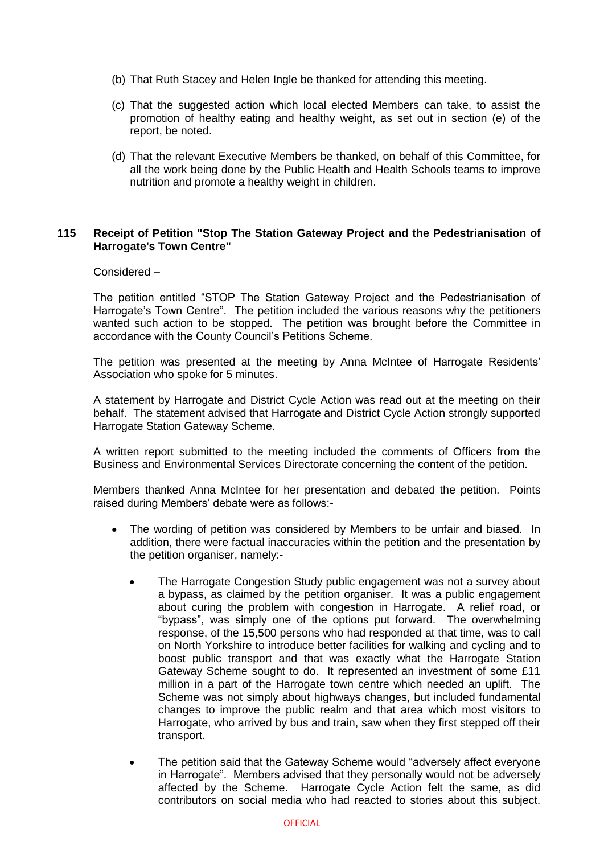- (b) That Ruth Stacey and Helen Ingle be thanked for attending this meeting.
- (c) That the suggested action which local elected Members can take, to assist the promotion of healthy eating and healthy weight, as set out in section (e) of the report, be noted.
- (d) That the relevant Executive Members be thanked, on behalf of this Committee, for all the work being done by the Public Health and Health Schools teams to improve nutrition and promote a healthy weight in children.

## **115 Receipt of Petition "Stop The Station Gateway Project and the Pedestrianisation of Harrogate's Town Centre"**

## Considered –

The petition entitled "STOP The Station Gateway Project and the Pedestrianisation of Harrogate's Town Centre". The petition included the various reasons why the petitioners wanted such action to be stopped. The petition was brought before the Committee in accordance with the County Council's Petitions Scheme.

The petition was presented at the meeting by Anna McIntee of Harrogate Residents' Association who spoke for 5 minutes.

A statement by Harrogate and District Cycle Action was read out at the meeting on their behalf. The statement advised that Harrogate and District Cycle Action strongly supported Harrogate Station Gateway Scheme.

A written report submitted to the meeting included the comments of Officers from the Business and Environmental Services Directorate concerning the content of the petition.

Members thanked Anna McIntee for her presentation and debated the petition. Points raised during Members' debate were as follows:-

- The wording of petition was considered by Members to be unfair and biased. In addition, there were factual inaccuracies within the petition and the presentation by the petition organiser, namely:-
	- The Harrogate Congestion Study public engagement was not a survey about a bypass, as claimed by the petition organiser. It was a public engagement about curing the problem with congestion in Harrogate. A relief road, or "bypass", was simply one of the options put forward. The overwhelming response, of the 15,500 persons who had responded at that time, was to call on North Yorkshire to introduce better facilities for walking and cycling and to boost public transport and that was exactly what the Harrogate Station Gateway Scheme sought to do. It represented an investment of some £11 million in a part of the Harrogate town centre which needed an uplift. The Scheme was not simply about highways changes, but included fundamental changes to improve the public realm and that area which most visitors to Harrogate, who arrived by bus and train, saw when they first stepped off their transport.
	- The petition said that the Gateway Scheme would "adversely affect everyone in Harrogate". Members advised that they personally would not be adversely affected by the Scheme. Harrogate Cycle Action felt the same, as did contributors on social media who had reacted to stories about this subject.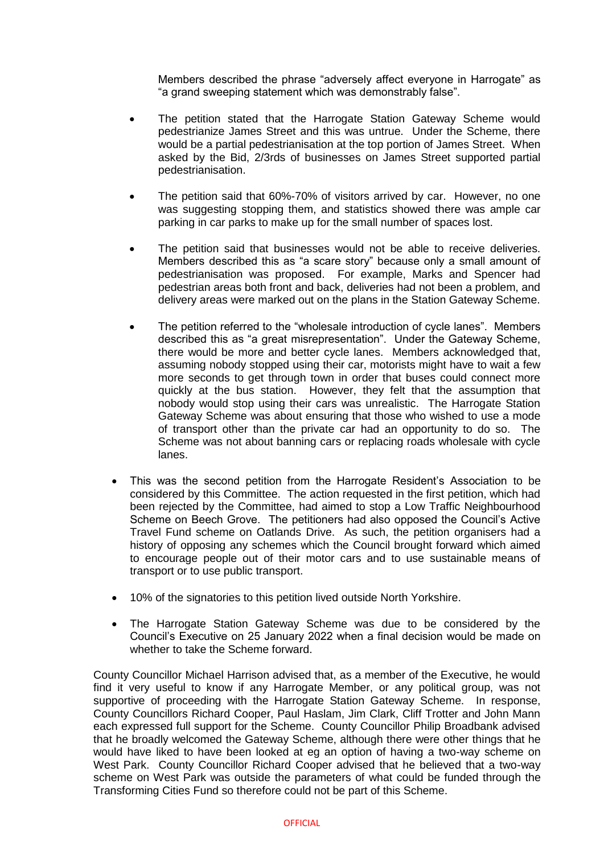Members described the phrase "adversely affect everyone in Harrogate" as "a grand sweeping statement which was demonstrably false".

- The petition stated that the Harrogate Station Gateway Scheme would pedestrianize James Street and this was untrue. Under the Scheme, there would be a partial pedestrianisation at the top portion of James Street. When asked by the Bid, 2/3rds of businesses on James Street supported partial pedestrianisation.
- The petition said that 60%-70% of visitors arrived by car. However, no one was suggesting stopping them, and statistics showed there was ample car parking in car parks to make up for the small number of spaces lost.
- The petition said that businesses would not be able to receive deliveries. Members described this as "a scare story" because only a small amount of pedestrianisation was proposed. For example, Marks and Spencer had pedestrian areas both front and back, deliveries had not been a problem, and delivery areas were marked out on the plans in the Station Gateway Scheme.
- The petition referred to the "wholesale introduction of cycle lanes". Members described this as "a great misrepresentation". Under the Gateway Scheme, there would be more and better cycle lanes. Members acknowledged that, assuming nobody stopped using their car, motorists might have to wait a few more seconds to get through town in order that buses could connect more quickly at the bus station. However, they felt that the assumption that nobody would stop using their cars was unrealistic. The Harrogate Station Gateway Scheme was about ensuring that those who wished to use a mode of transport other than the private car had an opportunity to do so. The Scheme was not about banning cars or replacing roads wholesale with cycle lanes.
- This was the second petition from the Harrogate Resident's Association to be considered by this Committee. The action requested in the first petition, which had been rejected by the Committee, had aimed to stop a Low Traffic Neighbourhood Scheme on Beech Grove. The petitioners had also opposed the Council's Active Travel Fund scheme on Oatlands Drive. As such, the petition organisers had a history of opposing any schemes which the Council brought forward which aimed to encourage people out of their motor cars and to use sustainable means of transport or to use public transport.
- 10% of the signatories to this petition lived outside North Yorkshire.
- The Harrogate Station Gateway Scheme was due to be considered by the Council's Executive on 25 January 2022 when a final decision would be made on whether to take the Scheme forward.

County Councillor Michael Harrison advised that, as a member of the Executive, he would find it very useful to know if any Harrogate Member, or any political group, was not supportive of proceeding with the Harrogate Station Gateway Scheme. In response, County Councillors Richard Cooper, Paul Haslam, Jim Clark, Cliff Trotter and John Mann each expressed full support for the Scheme. County Councillor Philip Broadbank advised that he broadly welcomed the Gateway Scheme, although there were other things that he would have liked to have been looked at eg an option of having a two-way scheme on West Park. County Councillor Richard Cooper advised that he believed that a two-way scheme on West Park was outside the parameters of what could be funded through the Transforming Cities Fund so therefore could not be part of this Scheme.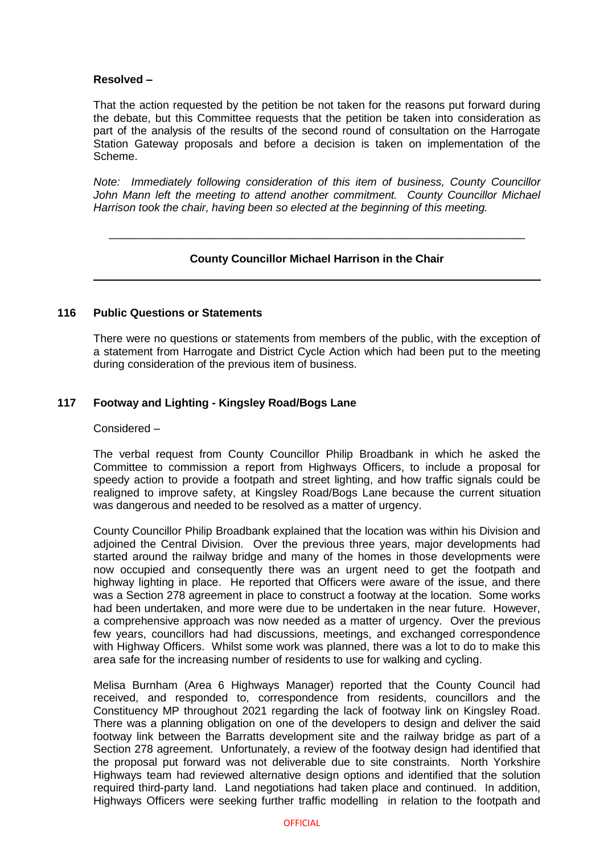# **Resolved –**

That the action requested by the petition be not taken for the reasons put forward during the debate, but this Committee requests that the petition be taken into consideration as part of the analysis of the results of the second round of consultation on the Harrogate Station Gateway proposals and before a decision is taken on implementation of the Scheme.

*Note: Immediately following consideration of this item of business, County Councillor*  John Mann left the meeting to attend another commitment. County Councillor Michael *Harrison took the chair, having been so elected at the beginning of this meeting.*

# **County Councillor Michael Harrison in the Chair**

\_\_\_\_\_\_\_\_\_\_\_\_\_\_\_\_\_\_\_\_\_\_\_\_\_\_\_\_\_\_\_\_\_\_\_\_\_\_\_\_\_\_\_\_\_\_\_\_\_\_\_\_\_\_\_\_\_\_\_\_\_\_\_\_\_\_\_

## **116 Public Questions or Statements**

There were no questions or statements from members of the public, with the exception of a statement from Harrogate and District Cycle Action which had been put to the meeting during consideration of the previous item of business.

## **117 Footway and Lighting - Kingsley Road/Bogs Lane**

## Considered –

The verbal request from County Councillor Philip Broadbank in which he asked the Committee to commission a report from Highways Officers, to include a proposal for speedy action to provide a footpath and street lighting, and how traffic signals could be realigned to improve safety, at Kingsley Road/Bogs Lane because the current situation was dangerous and needed to be resolved as a matter of urgency.

County Councillor Philip Broadbank explained that the location was within his Division and adjoined the Central Division. Over the previous three years, major developments had started around the railway bridge and many of the homes in those developments were now occupied and consequently there was an urgent need to get the footpath and highway lighting in place. He reported that Officers were aware of the issue, and there was a Section 278 agreement in place to construct a footway at the location. Some works had been undertaken, and more were due to be undertaken in the near future. However, a comprehensive approach was now needed as a matter of urgency. Over the previous few years, councillors had had discussions, meetings, and exchanged correspondence with Highway Officers. Whilst some work was planned, there was a lot to do to make this area safe for the increasing number of residents to use for walking and cycling.

Melisa Burnham (Area 6 Highways Manager) reported that the County Council had received, and responded to, correspondence from residents, councillors and the Constituency MP throughout 2021 regarding the lack of footway link on Kingsley Road. There was a planning obligation on one of the developers to design and deliver the said footway link between the Barratts development site and the railway bridge as part of a Section 278 agreement. Unfortunately, a review of the footway design had identified that the proposal put forward was not deliverable due to site constraints. North Yorkshire Highways team had reviewed alternative design options and identified that the solution required third-party land. Land negotiations had taken place and continued. In addition, Highways Officers were seeking further traffic modelling in relation to the footpath and